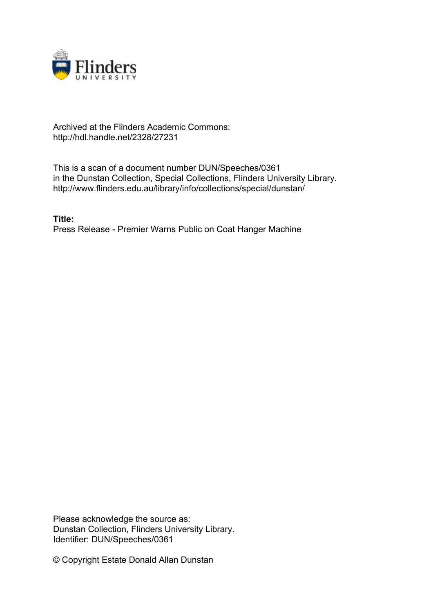

## Archived at the Flinders Academic Commons: http://hdl.handle.net/2328/27231

This is a scan of a document number DUN/Speeches/0361 in the Dunstan Collection, Special Collections, Flinders University Library. http://www.flinders.edu.au/library/info/collections/special/dunstan/

**Title:** Press Release - Premier Warns Public on Coat Hanger Machine

Please acknowledge the source as: Dunstan Collection, Flinders University Library. Identifier: DUN/Speeches/0361

© Copyright Estate Donald Allan Dunstan